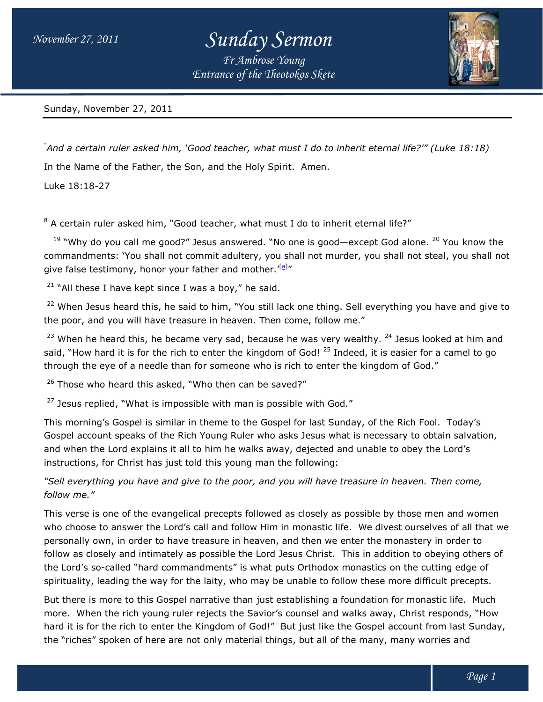## *Sunday Sermon*

*Entrance of the Theotokos Skete Fr Ambrose Young*



Sunday, November 27, 2011

<sup>"</sup>And a certain ruler asked him, `Good teacher, what must I do to inherit eternal life?'" (Luke 18:18) In the Name of the Father, the Son, and the Holy Spirit. Amen.

Luke 18:18-27

 $8$  A certain ruler asked him, "Good teacher, what must I do to inherit eternal life?"

<sup>19</sup> "Why do you call me good?" Jesus answered. "No one is good—except God alone. <sup>20</sup> You know the commandments: `You shall not commit adultery, you shall not murder, you shall not steal, you shall not give false testimony, honor your father and mother.'<sup>[a]</sup>" the Name of the Father, the Son, and the Holy Spirit. Amen.<br>18:18-27<br>A certain ruler asked him, "Good teacher, what must I do to inherit eternal life?"<br><sup>19</sup> "Why do you call me good?" Jesus answered. "No one is good—except

 $21$  "All these I have kept since I was a boy," he said.

<sup>22</sup> When Jesus heard this, he said to him, "You still lack one thing. Sell everything you have and give to the poor, and you will have treasure in heaven. Then come, follow me." <sup>22</sup> When Jesus heard this, he said to him, "You still lack one thing. Sell everything you have and give to<br>he poor, and you will have treasure in heaven. Then come, follow me."<br><sup>23</sup> When he heard this, he became very sad,

said, "How hard it is for the rich to enter the kingdom of God! <sup>25</sup> Indeed, it is easier for a camel to go through the eye of a needle than for someone who is rich to enter the kingdom of God." ou shall not murder, you shall not steal, you shall r<br>r.'<sup>[a]</sup>"<br>id.<br>Il lack one thing. Sell everything you have and give<br>en come, follow me."<br>use he was very wealthy. <sup>24</sup> Jesus looked at him ano<br>om of God! <sup>25</sup> Indeed, it

<sup>26</sup> Those who heard this asked, "Who then can be saved?"

 $27$  Jesus replied, "What is impossible with man is possible with God."

This morning's Gospel is similar in theme to the Gospel for last Sunday, of the Rich Fool. Today's through the eye of a needle than for someone who is rich to enter the kingdom of God."<br><sup>26</sup> Those who heard this asked, "Who then can be saved?"<br><sup>27</sup> Jesus replied, "What is impossible with man is possible with God."<br>This and when the Lord explains it all to him he walks away, dejected and unable to obey the Lord's<br>instructions, for Christ has just told this young man the following: instructions, for Christ has just told this young man the following:

*"Sell everything you have and give to th have and to the poor, and you will have treasure in heaven. Then come, e have treasure come, follow me."* 

This verse is one of the evangelical precepts followed as closely as possible by those men and women who choose to answer the Lord's call and follow Him in monastic life. We divest ourselves of all that we personally own, in order to have treasure in heaven, and then we enter the monastery in order to follow as closely and intimately as possible the Lord Jesus Christ. This in addition to obeying others of the Lord's so-called "hard commandments" is what puts Orthodox monastics on the cutting edge of the Lord's so-called "hard commandments" is what puts Orthodox monastics on the cutting edge of<br>spirituality, leading the way for the laity, who may be unable to follow these more difficult precepts. *Entrance of the Theotokos Skete*<br> *iood teacher, what must I do to inh*<br>
on, and the Holy Spirit. Amen.<br> *A* deacher, what must I do to inherivent<br> *J* elesus answered. "No one is good—<br> *f* ather and mother, "elaid.<br> *A* This verse is one of the evangelical precepts followed as closely as possible by those men and women<br>who choose to answer the Lord's call and follow Him in monastic life. We divest ourselves of all that we<br>personally own,

But there is more to this Gospel narrative than just establishing a foundation for monastic life. Much more. When the rich young ruler rejects the Savior's counsel and walks away, Christ responds, "How hard it is for the rich to enter the Kingdom of God!" But just like the Gospel account from last Sunday, the "riches" spoken of here are not only material things, but all of the many, many worries and this Gospel narrative than just establishing a foundation for monastic lift young ruler rejects the Savior's counsel and walks away, Christ respoto enter the Kingdom of God!" But just like the Gospel account from laps of h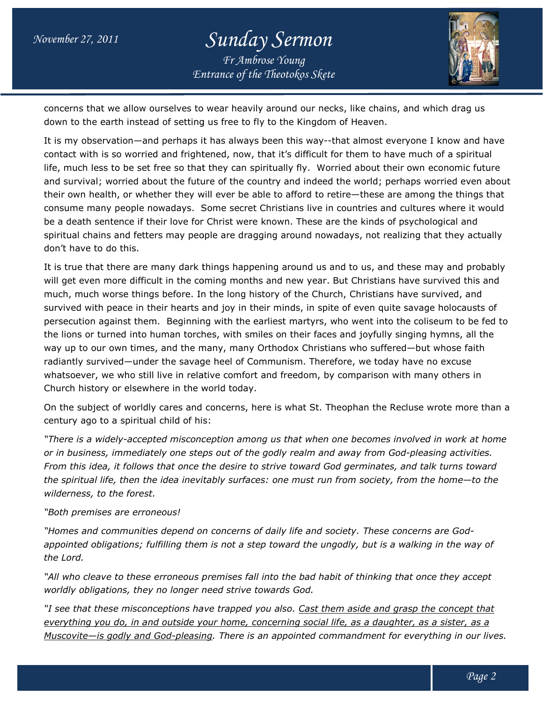## *Entrance of the Theotokos Skete Sunday Sermon Fr Ambrose Young*



concerns that we allow ourselves to wear heavily around our necks, like chains, and which drag us allow ourselves drag us down to the earth instead of setting us free to fly to the Kingdom of Heaven.

It is my observation—and perhaps it has always been this way--that almost everyone I know and have contact with is so worried and frightened, now, that it's difficult for them to have much of a spiritual contact with is so worried and frightened, now, that it's difficult for them to have much of a spiritual<br>life, much less to be set free so that they can spiritually fly. Worried about their own economic future and survival; worried about the future of the country and indeed the world; perhaps worried even about their own health, or whether they will ever be able to afford to retire—these are among the things that consume many people nowadays. Some secret Christians live in countries and cultures where it would be a death sentence if their love for Christ were known. These are the kinds of psychological and spiritual chains and fetters may people are dragging around nowadays, not realizing that they actually don't have to do this. that almost everyone I know and have<br>for them to have much of a spiritual<br>rried about their own economic future<br>I the world; perhaps worried even abou<br>etire—these are among the things that<br>i countries and cultures where it

It is true that there are many dark things happening around us and to us, and these may and probably will get even more difficult in the coming months and new year. But Christians have survived this and much, much worse things before. In the long history of the Church, Christians have survived, and survived with peace in their hearts and joy in their minds, in spite of even quite savage holocausts of It is true that there are many dark things happening around us and to us, and these may and probably<br>will get even more difficult in the coming months and new year. But Christians have survived this and<br>much, much worse th the lions or turned into human torches, with smiles on their faces and joyfully singing hymns, all the way up to our own times, and the many, many Orthodox Christians who suffered—but whose faith radiantly survived—under the savage heel of Communism. Therefore, we today have no excuse way up to our own times, and the many, many Orthodox Christians who suffered—but whose faith<br>radiantly survived—under the savage heel of Communism. Therefore, we today have no excuse<br>whatsoever, we who still live in relati Church history or elsewhere in the world today. *Entrance of the Theotokos Skete*<br>
to wear heavily around our necks,<br>
to wear heavily around our necks,<br>
the systemet, now, that it's difficult for the Kingdom of<br>
sit has always been this way-that<br>
hat they can spirituall st martyrs, who went into the coliseum to be fe<br>on their faces and joyfully singing hymns, all th<br>odox Christians who suffered—but whose faith

On the subject of worldly cares and concerns, here is what St. Theophan the Recluse wrote more than a century ago to a spiritual child of his: Church history or elsewhere in the world today.<br>On the subject of worldly cares and concerns, here is what St. Theophan the Recluse wrote<br>century ago to a spiritual child of his:

*"There is a widely-accepted misconception among us that when one becomes involved in work at home or in business, immediately one steps out o accepted involved at home one of the godly realm and away from God f God-pleasing activities. From this idea, it follows that once the desire to strive toward God germinates, and talk turns toward the spiritual life, then the idea inevitably surfaces: one must run from society, from the home home—to the wilderness, to the forest.*

## *"Both premises are erroneous!*

*"Homes and communities depend on concerns of daily life and society. These concerns are God Godappointed obligations; fulfilling them is not a step toward the ungodly, but is a walking in the way way of the Lord. design in this idea, it follows that once the desire to strive toward God germinates, and talk turns* e spiritual life, then the idea inevitably surfaces: one must run from society, from the home iderness, to the forest.<br>

*"All who cleave to these erroneous premises fall into the bad habit of thinking that once they accept worldly obligations, they no longer need strive towards God.*

"I see that these misconceptions have trapped you also. <u>Cast them aside and grasp the concept that</u> *everything you do, in and outside your home, concerning social life, as a daughter, as a sister, as a in and as daughter, a Muscovite—is godly and God-pleasing pleasing. There is an appointed commandment for everything in our lives. . an appointed commandment our lives.*